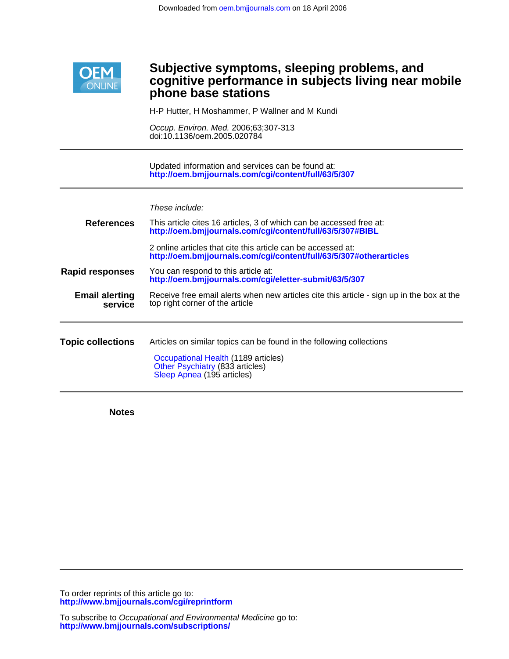

# Ī **phone base stations cognitive performance in subjects living near mobile Subjective symptoms, sleeping problems, and**

H-P Hutter, H Moshammer, P Wallner and M Kundi

doi:10.1136/oem.2005.020784 Occup. Environ. Med. 2006;63;307-313

**<http://oem.bmjjournals.com/cgi/content/full/63/5/307>** Updated information and services can be found at:

These include:

| <b>References</b>                | This article cites 16 articles, 3 of which can be accessed free at:<br>http://oem.bmjjournals.com/cgi/content/full/63/5/307#BIBL                                             |
|----------------------------------|------------------------------------------------------------------------------------------------------------------------------------------------------------------------------|
|                                  | 2 online articles that cite this article can be accessed at:<br>http://oem.bmjjournals.com/cgi/content/full/63/5/307#otherarticles                                           |
| <b>Rapid responses</b>           | You can respond to this article at:<br>http://oem.bmjjournals.com/cgi/eletter-submit/63/5/307                                                                                |
| <b>Email alerting</b><br>service | Receive free email alerts when new articles cite this article - sign up in the box at the<br>top right corner of the article                                                 |
| <b>Topic collections</b>         | Articles on similar topics can be found in the following collections<br>Occupational Health (1189 articles)<br>Other Psychiatry (833 articles)<br>Sleep Apnea (195 articles) |

**Notes**

**<http://www.bmjjournals.com/cgi/reprintform>** To order reprints of this article go to: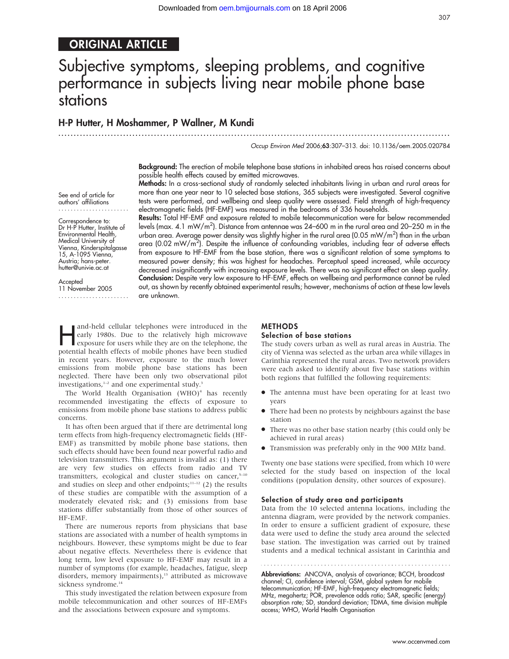# ORIGINAL ARTICLE

# Subjective symptoms, sleeping problems, and cognitive performance in subjects living near mobile phone base stations

............................................................... ............................................................... .

# H-P Hutter, H Moshammer, P Wallner, M Kundi

Occup Environ Med 2006;63:307–313. doi: 10.1136/oem.2005.020784

Background: The erection of mobile telephone base stations in inhabited areas has raised concerns about possible health effects caused by emitted microwaves.

Methods: In a cross-sectional study of randomly selected inhabitants living in urban and rural areas for more than one year near to 10 selected base stations, 365 subjects were investigated. Several cognitive tests were performed, and wellbeing and sleep quality were assessed. Field strength of high-frequency electromagnetic fields (HF-EMF) was measured in the bedrooms of 336 households.

See end of article for authors' affiliations .......................

Correspondence to: Dr H-P Hutter, Institute of Environmental Health, Medical University of Vienna, Kinderspitalgasse 15, A-1095 Vienna, Austria; hans-peter. hutter@univie.ac.at

**Accepted** 

11 November 2005 ....................... Results: Total HF-EMF and exposure related to mobile telecommunication were far below recommended levels (max. 4.1 mW/m<sup>2</sup>). Distance from antennae was 24–600 m in the rural area and 20–250 m in the urban area. Average power density was slightly higher in the rural area (0.05 mW/m<sup>2</sup>) than in the urban area (0.02 mW/m<sup>2</sup>). Despite the influence of confounding variables, including fear of adverse effects from exposure to HF-EMF from the base station, there was a significant relation of some symptoms to measured power density; this was highest for headaches. Perceptual speed increased, while accuracy decreased insignificantly with increasing exposure levels. There was no significant effect on sleep quality. Conclusion: Despite very low exposure to HF-EMF, effects on wellbeing and performance cannot be ruled out, as shown by recently obtained experimental results; however, mechanisms of action at these low levels are unknown.

and-held cellular telephones were introduced in the<br>early 1980s. Due to the relatively high microwave<br>exposure for users while they are on the telephone, the<br>potential boath offects of mobile phones have been studied early 1980s. Due to the relatively high microwave potential health effects of mobile phones have been studied in recent years. However, exposure to the much lower emissions from mobile phone base stations has been neglected. There have been only two observational pilot investigations, $1-2$  and one experimental study.<sup>3</sup>

The World Health Organisation  $(WHO)^4$  has recently recommended investigating the effects of exposure to emissions from mobile phone base stations to address public concerns.

It has often been argued that if there are detrimental long term effects from high-frequency electromagnetic fields (HF-EMF) as transmitted by mobile phone base stations, then such effects should have been found near powerful radio and television transmitters. This argument is invalid as: (1) there are very few studies on effects from radio and TV transmitters, ecological and cluster studies on cancer, $5-10$ and studies on sleep and other endpoints; $11-12$  (2) the results of these studies are compatible with the assumption of a moderately elevated risk; and (3) emissions from base stations differ substantially from those of other sources of HF-EMF.

There are numerous reports from physicians that base stations are associated with a number of health symptoms in neighbours. However, these symptoms might be due to fear about negative effects. Nevertheless there is evidence that long term, low level exposure to HF-EMF may result in a number of symptoms (for example, headaches, fatigue, sleep disorders, memory impairments),<sup>13</sup> attributed as microwave sickness syndrome.<sup>14</sup>

This study investigated the relation between exposure from mobile telecommunication and other sources of HF-EMFs and the associations between exposure and symptoms.

#### METHODS

#### Selection of base stations

The study covers urban as well as rural areas in Austria. The city of Vienna was selected as the urban area while villages in Carinthia represented the rural areas. Two network providers were each asked to identify about five base stations within both regions that fulfilled the following requirements:

- The antenna must have been operating for at least two years
- There had been no protests by neighbours against the base station
- There was no other base station nearby (this could only be achieved in rural areas)
- Transmission was preferably only in the 900 MHz band.

Twenty one base stations were specified, from which 10 were selected for the study based on inspection of the local conditions (population density, other sources of exposure).

#### Selection of study area and participants

Data from the 10 selected antenna locations, including the antenna diagram, were provided by the network companies. In order to ensure a sufficient gradient of exposure, these data were used to define the study area around the selected base station. The investigation was carried out by trained students and a medical technical assistant in Carinthia and

Abbreviations: ANCOVA, analysis of covariance; BCCH, broadcast channel; CI, confidence interval; GSM, global system for mobile telecommunication; HF-EMF, high-frequency electromagnetic fields; MHz, megahertz; POR, prevalence odds ratio; SAR, specific (energy) absorption rate; SD, standard deviation; TDMA, time division multiple access; WHO, World Health Organisation

307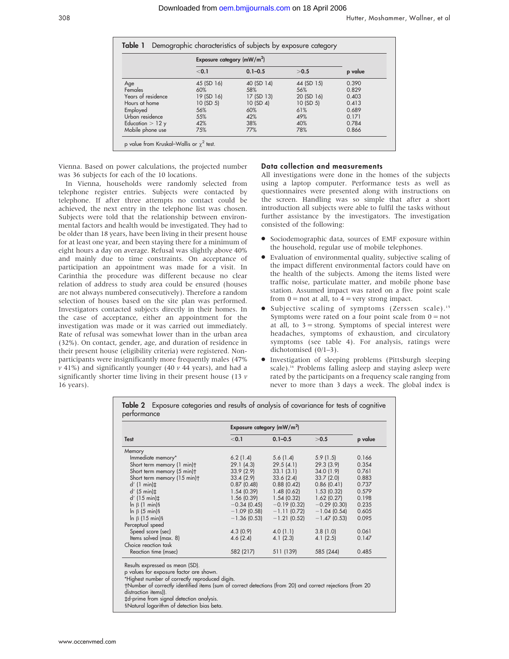|                    | Exposure category $(mW/m2)$ |             |            |         |
|--------------------|-----------------------------|-------------|------------|---------|
|                    | < 0.1                       | $0.1 - 0.5$ | >0.5       | p value |
| Age                | 45 (SD 16)                  | 40 (SD 14)  | 44 (SD 15) | 0.390   |
| Females            | 60%                         | 58%         | 56%        | 0.829   |
| Years of residence | 19 (SD 16)                  | 17 (SD 13)  | 20 (SD 16) | 0.403   |
| Hours at home      | 10 (SD 5)                   | 10 (SD 4)   | 10 (SD 5)  | 0.413   |
| Employed           | 56%                         | 60%         | 61%        | 0.689   |
| Urban residence    | 55%                         | 42%         | 49%        | 0.171   |
| Education $>$ 12 y | 42%                         | 38%         | 40%        | 0.784   |
| Mobile phone use   | 75%                         | 77%         | 78%        | 0.866   |

Vienna. Based on power calculations, the projected number was 36 subjects for each of the 10 locations.

In Vienna, households were randomly selected from telephone register entries. Subjects were contacted by telephone. If after three attempts no contact could be achieved, the next entry in the telephone list was chosen. Subjects were told that the relationship between environmental factors and health would be investigated. They had to be older than 18 years, have been living in their present house for at least one year, and been staying there for a minimum of eight hours a day on average. Refusal was slightly above 40% and mainly due to time constraints. On acceptance of participation an appointment was made for a visit. In Carinthia the procedure was different because no clear relation of address to study area could be ensured (houses are not always numbered consecutively). Therefore a random selection of houses based on the site plan was performed. Investigators contacted subjects directly in their homes. In the case of acceptance, either an appointment for the investigation was made or it was carried out immediately. Rate of refusal was somewhat lower than in the urban area (32%). On contact, gender, age, and duration of residence in their present house (eligibility criteria) were registered. Nonparticipants were insignificantly more frequently males (47%  $v$  41%) and significantly younger (40  $v$  44 years), and had a significantly shorter time living in their present house (13  $\nu$ ) 16 years).

#### Data collection and measurements

All investigations were done in the homes of the subjects using a laptop computer. Performance tests as well as questionnaires were presented along with instructions on the screen. Handling was so simple that after a short introduction all subjects were able to fulfil the tasks without further assistance by the investigators. The investigation consisted of the following:

- Sociodemographic data, sources of EMF exposure within the household, regular use of mobile telephones.
- Evaluation of environmental quality, subjective scaling of the impact different environmental factors could have on the health of the subjects. Among the items listed were traffic noise, particulate matter, and mobile phone base station. Assumed impact was rated on a five point scale from  $0 =$  not at all, to  $4 =$  very strong impact.
- $\bullet$  Subjective scaling of symptoms (Zerssen scale).<sup>15</sup> Symptoms were rated on a four point scale from  $0 = not$ at all, to  $3 =$  strong. Symptoms of special interest were headaches, symptoms of exhaustion, and circulatory symptoms (see table 4). For analysis, ratings were dichotomised (0/1–3).
- N Investigation of sleeping problems (Pittsburgh sleeping scale).16 Problems falling asleep and staying asleep were rated by the participants on a frequency scale ranging from never to more than 3 days a week. The global index is

|                             | Exposure category $(mW/m2)$ |                |                |         |  |
|-----------------------------|-----------------------------|----------------|----------------|---------|--|
| <b>Test</b>                 | < 0.1                       | $0.1 - 0.5$    | >0.5           | p value |  |
| Memory                      |                             |                |                |         |  |
| Immediate memory*           | 6.2(1.4)                    | 5.6(1.4)       | 5.9(1.5)       | 0.166   |  |
| Short term memory (1 min)t  | 29.1(4.3)                   | 29.5(4.1)      | 29.3(3.9)      | 0.354   |  |
| Short term memory (5 min)t  | 33.9(2.9)                   | 33.1(3.1)      | 34.0(1.9)      | 0.761   |  |
| Short term memory (15 min)+ | 33.4(2.9)                   | 33.6(2.4)      | 33.7(2.0)      | 0.883   |  |
| $d'$ (1 min) $\pm$          | 0.87(0.48)                  | 0.88(0.42)     | 0.86(0.41)     | 0.737   |  |
| $d'$ (5 min) $\pm$          | 1.54(0.39)                  | 1.48(0.62)     | 1.53(0.32)     | 0.579   |  |
| $d'$ (15 min) $\ddagger$    | 1.56(0.39)                  | 1.54(0.32)     | 1.62(0.27)     | 0.198   |  |
| $\ln \beta$ (1 min) §       | $-0.34(0.45)$               | $-0.19$ (0.32) | $-0.29$ (0.30) | 0.235   |  |
| $\ln \beta$ (5 min) §       | $-1.09$ (0.58)              | $-1.11(0.72)$  | $-1.04(0.54)$  | 0.605   |  |
| $\ln \beta$ (15 min) §      | $-1.36(0.53)$               | $-1.21$ (0.52) | $-1.47(0.53)$  | 0.095   |  |
| Perceptual speed            |                             |                |                |         |  |
| Speed score (sec)           | 4.3(0.9)                    | 4.0(1.1)       | 3.8(1.0)       | 0.061   |  |
| Items solved (max. 8)       | 4.6(2.4)                    | 4.1(2.3)       | 4.1(2.5)       | 0.147   |  |
| Choice reaction task        |                             |                |                |         |  |
| Reaction time (msec)        | 582 (217)                   | 511 (139)      | 585 (244)      | 0.485   |  |

Results expressed as mean (SD).

p values for exposure factor are shown.

\*Highest number of correctly reproduced digits.

-Number of correctly identified items (sum of correct detections (from 20) and correct rejections (from 20

distraction items)).

`d-prime from signal detection analysis.

§Natural logarithm of detection bias beta.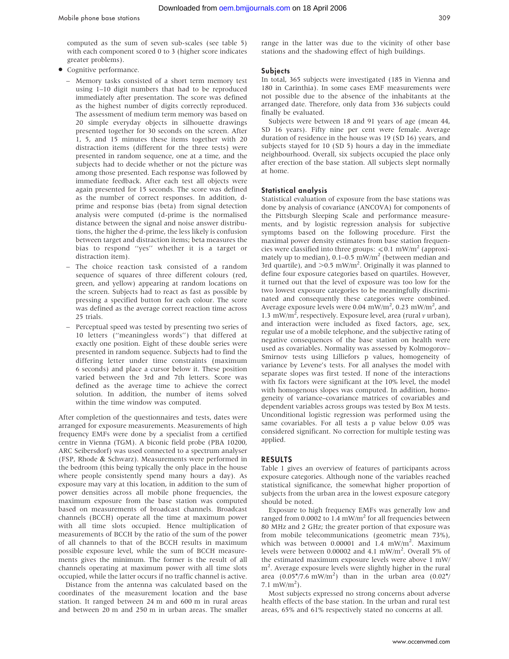computed as the sum of seven sub-scales (see table 5) with each component scored 0 to 3 (higher score indicates greater problems).

- Cognitive performance.
	- Memory tasks consisted of a short term memory test using 1–10 digit numbers that had to be reproduced immediately after presentation. The score was defined as the highest number of digits correctly reproduced. The assessment of medium term memory was based on 20 simple everyday objects in silhouette drawings presented together for 30 seconds on the screen. After 1, 5, and 15 minutes these items together with 20 distraction items (different for the three tests) were presented in random sequence, one at a time, and the subjects had to decide whether or not the picture was among those presented. Each response was followed by immediate feedback. After each test all objects were again presented for 15 seconds. The score was defined as the number of correct responses. In addition, dprime and response bias (beta) from signal detection analysis were computed (d-prime is the normalised distance between the signal and noise answer distributions, the higher the d-prime, the less likely is confusion between target and distraction items; beta measures the bias to respond ''yes'' whether it is a target or distraction item).
	- The choice reaction task consisted of a random sequence of squares of three different colours (red, green, and yellow) appearing at random locations on the screen. Subjects had to react as fast as possible by pressing a specified button for each colour. The score was defined as the average correct reaction time across 25 trials.
	- Perceptual speed was tested by presenting two series of 10 letters (''meaningless words'') that differed at exactly one position. Eight of these double series were presented in random sequence. Subjects had to find the differing letter under time constraints (maximum 6 seconds) and place a cursor below it. These position varied between the 3rd and 7th letters. Score was defined as the average time to achieve the correct solution. In addition, the number of items solved within the time window was computed.

After completion of the questionnaires and tests, dates were arranged for exposure measurements. Measurements of high frequency EMFs were done by a specialist from a certified centre in Vienna (TGM). A biconic field probe (PBA 10200, ARC Seibersdorf) was used connected to a spectrum analyser (FSP, Rhode & Schwarz). Measurements were performed in the bedroom (this being typically the only place in the house where people consistently spend many hours a day). As exposure may vary at this location, in addition to the sum of power densities across all mobile phone frequencies, the maximum exposure from the base station was computed based on measurements of broadcast channels. Broadcast channels (BCCH) operate all the time at maximum power with all time slots occupied. Hence multiplication of measurements of BCCH by the ratio of the sum of the power of all channels to that of the BCCH results in maximum possible exposure level, while the sum of BCCH measurements gives the minimum. The former is the result of all channels operating at maximum power with all time slots occupied, while the latter occurs if no traffic channel is active.

Distance from the antenna was calculated based on the coordinates of the measurement location and the base station. It ranged between 24 m and 600 m in rural areas and between 20 m and 250 m in urban areas. The smaller

range in the latter was due to the vicinity of other base stations and the shadowing effect of high buildings.

#### **Subjects**

In total, 365 subjects were investigated (185 in Vienna and 180 in Carinthia). In some cases EMF measurements were not possible due to the absence of the inhabitants at the arranged date. Therefore, only data from 336 subjects could finally be evaluated.

Subjects were between 18 and 91 years of age (mean 44, SD 16 years). Fifty nine per cent were female. Average duration of residence in the house was 19 (SD 16) years, and subjects stayed for 10 (SD 5) hours a day in the immediate neighbourhood. Overall, six subjects occupied the place only after erection of the base station. All subjects slept normally at home.

## Statistical analysis

Statistical evaluation of exposure from the base stations was done by analysis of covariance (ANCOVA) for components of the Pittsburgh Sleeping Scale and performance measurements, and by logistic regression analysis for subjective symptoms based on the following procedure. First the maximal power density estimates from base station frequencies were classified into three groups:  $\leq 0.1$  mW/m<sup>2</sup> (approximately up to median),  $0.1-0.5$  mW/m<sup>2</sup> (between median and 3rd quartile), and  $>$ 0.5 mW/m<sup>2</sup>. Originally it was planned to define four exposure categories based on quartiles. However, it turned out that the level of exposure was too low for the two lowest exposure categories to be meaningfully discriminated and consequently these categories were combined. Average exposure levels were 0.04  $\text{mW/m}^2$ , 0.23  $\text{mW/m}^2$ , and 1.3 mW/m<sup>2</sup>, respectively. Exposure level, area (rural  $\nu$  urban), and interaction were included as fixed factors, age, sex, regular use of a mobile telephone, and the subjective rating of negative consequences of the base station on health were used as covariables. Normality was assessed by Kolmogorov– Smirnov tests using Lilliefors p values, homogeneity of variance by Levene's tests. For all analyses the model with separate slopes was first tested. If none of the interactions with fix factors were significant at the 10% level, the model with homogenous slopes was computed. In addition, homogeneity of variance–covariance matrices of covariables and dependent variables across groups was tested by Box M tests. Unconditional logistic regression was performed using the same covariables. For all tests a p value below 0.05 was considered significant. No correction for multiple testing was applied.

#### RESULTS

Table 1 gives an overview of features of participants across exposure categories. Although none of the variables reached statistical significance, the somewhat higher proportion of subjects from the urban area in the lowest exposure category should be noted.

Exposure to high frequency EMFs was generally low and ranged from 0.0002 to 1.4 mW/m<sup>2</sup> for all frequencies between 80 MHz and 2 GHz; the greater portion of that exposure was from mobile telecommunications (geometric mean 73%), which was between 0.00001 and 1.4 mW/m<sup>2</sup>. Maximum levels were between 0.00002 and 4.1 mW/m<sup>2</sup>. Overall 5% of the estimated maximum exposure levels were above 1 mW/ m<sup>2</sup>. Average exposure levels were slightly higher in the rural area  $(0.05*/7.6 \text{ mW/m}^2)$  than in the urban area  $(0.02*)$ 7.1  $\text{mW/m}^2$ ).

Most subjects expressed no strong concerns about adverse health effects of the base station. In the urban and rural test areas, 65% and 61% respectively stated no concerns at all.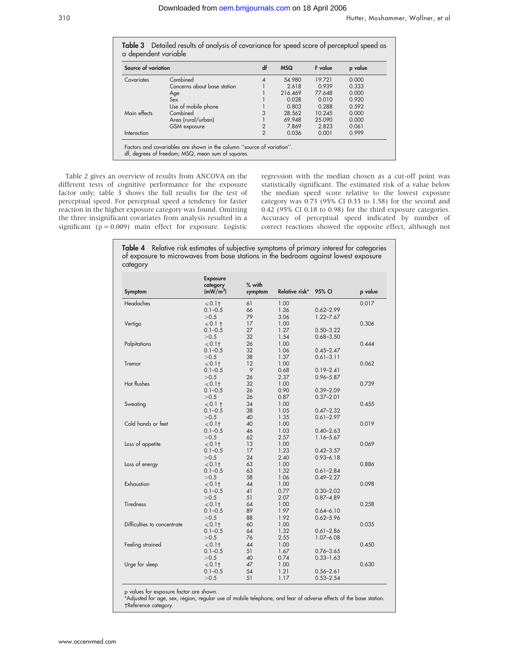Table 3 Detailed results of analysis of covariance for speed score of perceptual speed as

| Source of variation |                             | df             | <b>MSQ</b> | F value | p value |
|---------------------|-----------------------------|----------------|------------|---------|---------|
| Covariates          | Combined                    | 4              | 54.980     | 19.721  | 0.000   |
|                     | Concerns about base station |                | 2.618      | 0.939   | 0.333   |
|                     | Age                         |                | 216.469    | 77.648  | 0.000   |
|                     | Sex                         |                | 0.028      | 0.010   | 0.920   |
|                     | Use of mobile phone         |                | 0.803      | 0.288   | 0.592   |
| Main effects        | Combined                    | 3              | 28.562     | 10.245  | 0.000   |
|                     | Area (rural/urban)          |                | 69.948     | 25.090  | 0.000   |
|                     | GSM exposure                | $\overline{2}$ | 7.869      | 2.823   | 0.061   |
| Interaction         |                             | $\overline{2}$ | 0.036      | 0.001   | 0.999   |

Table 2 gives an overview of results from ANCOVA on the different tests of cognitive performance for the exposure factor only; table 3 shows the full results for the test of perceptual speed. For perceptual speed a tendency for faster reaction in the higher exposure category was found. Omitting the three insignificant covariates from analysis resulted in a significant ( $p = 0.009$ ) main effect for exposure. Logistic

regression with the median chosen as a cut-off point was statistically significant. The estimated risk of a value below the median speed score relative to the lowest exposure category was 0.73 (95% CI 0.33 to 1.58) for the second and 0.42 (95% CI 0.18 to 0.98) for the third exposure categories. Accuracy of perceptual speed indicated by number of correct reactions showed the opposite effect, although not

| Symptom                     | <b>Exposure</b><br>category<br>(mW/m <sup>2</sup> ) | $%$ with<br>symptom | Relative risk* | 95% CI        | p value |
|-----------------------------|-----------------------------------------------------|---------------------|----------------|---------------|---------|
| Headaches                   | $\leqslant$ 0.1†                                    | 61                  | 1.00           |               | 0.017   |
|                             | $0.1 - 0.5$                                         | 66                  | 1.36           | $0.62 - 2.99$ |         |
|                             | >0.5                                                | 79                  | 3.06           | $1.22 - 7.67$ |         |
| Vertigo                     | $\leq 0.1$ †                                        | 17                  | 1.00           |               | 0.306   |
|                             | $0.1 - 0.5$                                         | 27                  | 1.27           | $0.50 - 3.22$ |         |
|                             | >0.5                                                | 32                  | 1.54           | $0.68 - 3.50$ |         |
| Palpitations                | $\leqslant$ 0.1†                                    | 26                  | 1.00           |               | 0.444   |
|                             | $0.1 - 0.5$                                         | 32                  | 1.06           | $0.45 - 2.47$ |         |
|                             | >0.5                                                | 38                  | 1.37           | $0.61 - 3.11$ |         |
| Tremor                      | $\leqslant$ 0.1†                                    | 12                  | 1.00           |               | 0.062   |
|                             | $0.1 - 0.5$                                         | 9                   | 0.68           | $0.19 - 2.41$ |         |
|                             | >0.5                                                | 26                  | 2.37           | $0.96 - 5.87$ |         |
| Hot flushes                 | $\leqslant$ 0.1†                                    | 32                  | 1.00           |               | 0.739   |
|                             | $0.1 - 0.5$                                         | 26                  | 0.90           | $0.39 - 2.09$ |         |
|                             | >0.5                                                | 26                  | 0.87           | $0.37 - 2.01$ |         |
| Sweating                    | $\le 0.1$ †                                         | 34                  | 1.00           |               | 0.455   |
|                             | $0.1 - 0.5$                                         | 38                  | 1.05           | $0.47 - 2.32$ |         |
|                             | >0.5                                                | 40                  | 1.35           | $0.61 - 2.97$ |         |
| Cold hands or feet          | $\leqslant$ 0.1†                                    | 40                  | 1.00           |               | 0.019   |
|                             | $0.1 - 0.5$                                         | 46                  | 1.03           | $0.40 - 2.63$ |         |
|                             | >0.5                                                | 62                  | 2.57           | 1.16-5.67     |         |
| Loss of appetite            | $\leq 0.1$ †                                        | 13                  | 1.00           |               | 0.069   |
|                             | $0.1 - 0.5$                                         | 17                  | 1.23           | $0.42 - 3.57$ |         |
|                             | >0.5                                                | 24                  | 2.40           | $0.93 - 6.18$ |         |
| Loss of energy              | $\leqslant$ 0.1†                                    | 63                  | 1.00           |               | 0.886   |
|                             | $0.1 - 0.5$                                         | 63                  | 1.32           | $0.61 - 2.84$ |         |
|                             | >0.5                                                | 58                  | 1.06           | $0.49 - 2.27$ |         |
| Exhaustion                  | $\leqslant$ 0.1†                                    | 44                  | 1.00           |               | 0.098   |
|                             | $0.1 - 0.5$                                         | 41                  | 0.77           | $0.30 - 2.02$ |         |
|                             | >0.5                                                | 51                  | 2.07           | $0.87 - 4.89$ |         |
| <b>Tiredness</b>            | $\leq 0.1$ †                                        | 64                  | 1.00           |               | 0.258   |
|                             | $0.1 - 0.5$                                         | 89                  | 1.97           | $0.64 - 6.10$ |         |
|                             | >0.5                                                | 88                  | 1.92           | $0.62 - 5.96$ |         |
| Difficulties to concentrate | $\leq 0.1$ †                                        | 60                  | 1.00           |               | 0.035   |
|                             | $0.1 - 0.5$                                         | 64                  | 1.32           | $0.61 - 2.86$ |         |
|                             | >0.5                                                | 76                  | 2.55           | $1.07 - 6.08$ |         |
| Feeling strained            | $\leq 0.1$ †                                        | 44                  | 1.00           |               | 0.450   |
|                             | $0.1 - 0.5$                                         | 51                  | 1.67           | $0.76 - 3.65$ |         |
|                             | >0.5                                                | 40                  | 0.74           | $0.33 - 1.63$ |         |
| Urge for sleep              | $\leqslant$ 0.1†                                    | 47                  | 1.00           |               | 0.630   |
|                             | $0.1 - 0.5$                                         | 54                  | 1.21           | $0.56 - 2.61$ |         |
|                             | >0.5                                                | 51                  | 1.17           | $0.53 - 2.54$ |         |

p values for exposure factor are shown.

\*Adjusted for age, sex, region, regular use of mobile telephone, and fear of adverse effects of the base station. -Reference category.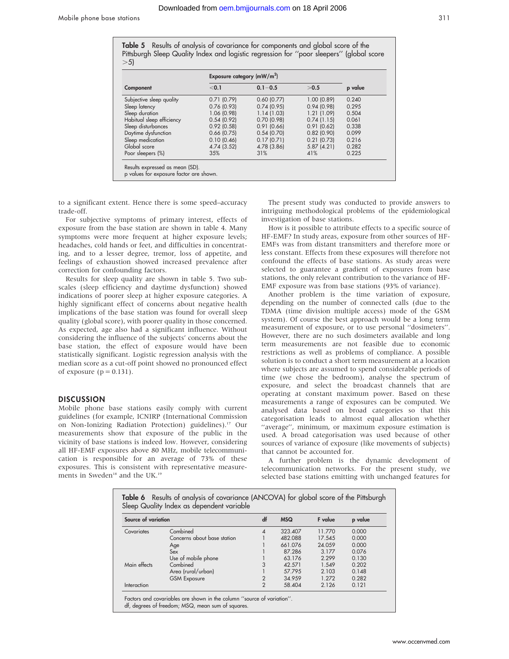Table 5 Results of analysis of covariance for components and global score of the Pittsburgh Sleep Quality Index and logistic regression for ''poor sleepers'' (global score  $>5$ )

|                           | Exposure category $(mW/m2)$ |             |            |         |  |
|---------------------------|-----------------------------|-------------|------------|---------|--|
| Component                 | < 0.1                       | $0.1 - 0.5$ | >0.5       | p value |  |
| Subjective sleep quality  | 0.71(0.79)                  | 0.60(0.77)  | 1.00(0.89) | 0.240   |  |
| Sleep latency             | 0.76(0.93)                  | 0.74(0.95)  | 0.94(0.98) | 0.295   |  |
| Sleep duration            | 1.06 (0.98)                 | 1.14(1.03)  | 1.21(1.09) | 0.504   |  |
| Habitual sleep efficiency | 0.54(0.92)                  | 0.70(0.98)  | 0.74(1.15) | 0.061   |  |
| Sleep disturbances        | 0.92(0.58)                  | 0.91(0.66)  | 0.91(0.62) | 0.338   |  |
| Daytime dysfunction       | $0.66$ (0.75)               | 0.54(0.70)  | 0.82(0.90) | 0.099   |  |
| Sleep medication          | 0.10(0.46)                  | 0.17(0.71)  | 0.21(0.73) | 0.216   |  |
| Global score              | 4.74 (3.52)                 | 4.78 (3.86) | 5.87(4.21) | 0.282   |  |
| Poor sleepers (%)         | 35%                         | 31%         | 41%        | 0.225   |  |

to a significant extent. Hence there is some speed–accuracy trade-off.

For subjective symptoms of primary interest, effects of exposure from the base station are shown in table 4. Many symptoms were more frequent at higher exposure levels; headaches, cold hands or feet, and difficulties in concentrating, and to a lesser degree, tremor, loss of appetite, and feelings of exhaustion showed increased prevalence after correction for confounding factors.

Results for sleep quality are shown in table 5. Two subscales (sleep efficiency and daytime dysfunction) showed indications of poorer sleep at higher exposure categories. A highly significant effect of concerns about negative health implications of the base station was found for overall sleep quality (global score), with poorer quality in those concerned. As expected, age also had a significant influence. Without considering the influence of the subjects' concerns about the base station, the effect of exposure would have been statistically significant. Logistic regression analysis with the median score as a cut-off point showed no pronounced effect of exposure  $(p = 0.131)$ .

## **DISCUSSION**

Mobile phone base stations easily comply with current guidelines (for example, ICNIRP (International Commission on Non-Ionizing Radiation Protection) guidelines).<sup>17</sup> Our measurements show that exposure of the public in the vicinity of base stations is indeed low. However, considering all HF-EMF exposures above 80 MHz, mobile telecommunication is responsible for an average of 73% of these exposures. This is consistent with representative measurements in Sweden<sup>18</sup> and the UK.<sup>19</sup>

The present study was conducted to provide answers to intriguing methodological problems of the epidemiological investigation of base stations.

How is it possible to attribute effects to a specific source of HF-EMF? In study areas, exposure from other sources of HF-EMFs was from distant transmitters and therefore more or less constant. Effects from these exposures will therefore not confound the effects of base stations. As study areas were selected to guarantee a gradient of exposures from base stations, the only relevant contribution to the variance of HF-EMF exposure was from base stations (93% of variance).

Another problem is the time variation of exposure, depending on the number of connected calls (due to the TDMA (time division multiple access) mode of the GSM system). Of course the best approach would be a long term measurement of exposure, or to use personal ''dosimeters''. However, there are no such dosimeters available and long term measurements are not feasible due to economic restrictions as well as problems of compliance. A possible solution is to conduct a short term measurement at a location where subjects are assumed to spend considerable periods of time (we chose the bedroom), analyse the spectrum of exposure, and select the broadcast channels that are operating at constant maximum power. Based on these measurements a range of exposures can be computed. We analysed data based on broad categories so that this categorisation leads to almost equal allocation whether ''average'', minimum, or maximum exposure estimation is used. A broad categorisation was used because of other sources of variance of exposure (like movements of subjects) that cannot be accounted for.

A further problem is the dynamic development of telecommunication networks. For the present study, we selected base stations emitting with unchanged features for

| Source of variation |                             | df                       | <b>MSQ</b> | <b>F</b> value | p value |
|---------------------|-----------------------------|--------------------------|------------|----------------|---------|
| Covariates          | Combined                    | $\boldsymbol{\varDelta}$ | 323.407    | 11.770         | 0.000   |
|                     | Concerns about base station |                          | 482.088    | 17.545         | 0.000   |
|                     | Age                         |                          | 661.076    | 24.059         | 0.000   |
|                     | Sex                         |                          | 87.286     | 3.177          | 0.076   |
|                     | Use of mobile phone         |                          | 63.176     | 2.299          | 0.130   |
| Main effects        | Combined                    | 3                        | 42.571     | 1.549          | 0.202   |
|                     | Area (rural/urban)          |                          | 57.795     | 2.103          | 0.148   |
|                     | <b>GSM Exposure</b>         | 2                        | 34.959     | 1.272          | 0.282   |
| Interaction         |                             | $\overline{2}$           | 58.404     | 2.126          | 0.121   |

Table 6 Results of analysis of covariance (ANCOVA) for global score of the Pittsburgh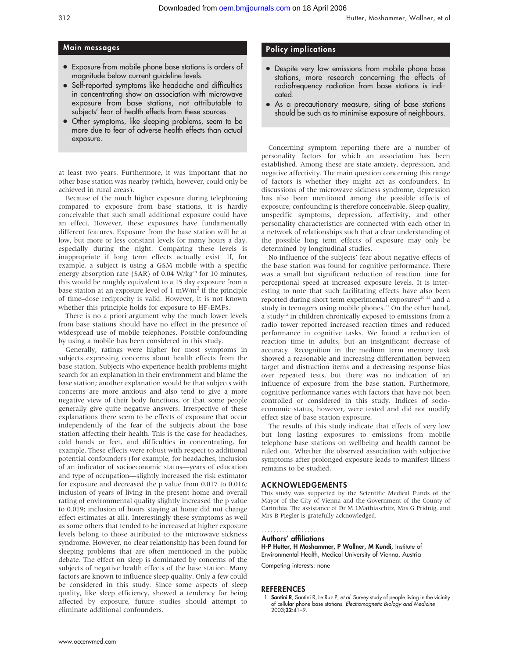# Main messages

- Exposure from mobile phone base stations is orders of magnitude below current guideline levels.
- Self-reported symptoms like headache and difficulties in concentrating show an association with microwave exposure from base stations, not attributable to subjects' fear of health effects from these sources.
- Other symptoms, like sleeping problems, seem to be more due to fear of adverse health effects than actual exposure.

at least two years. Furthermore, it was important that no other base station was nearby (which, however, could only be achieved in rural areas).

Because of the much higher exposure during telephoning compared to exposure from base stations, it is hardly conceivable that such small additional exposure could have an effect. However, these exposures have fundamentally different features. Exposure from the base station will be at low, but more or less constant levels for many hours a day, especially during the night. Comparing these levels is inappropriate if long term effects actually exist. If, for example, a subject is using a GSM mobile with a specific energy absorption rate (SAR) of 0.04 W/kg<sup>20</sup> for 10 minutes, this would be roughly equivalent to a 15 day exposure from a base station at an exposure level of  $1 \text{ mW/m}^2$  if the principle of time–dose reciprocity is valid. However, it is not known whether this principle holds for exposure to HF-EMFs.

There is no a priori argument why the much lower levels from base stations should have no effect in the presence of widespread use of mobile telephones. Possible confounding by using a mobile has been considered in this study.

Generally, ratings were higher for most symptoms in subjects expressing concerns about health effects from the base station. Subjects who experience health problems might search for an explanation in their environment and blame the base station; another explanation would be that subjects with concerns are more anxious and also tend to give a more negative view of their body functions, or that some people generally give quite negative answers. Irrespective of these explanations there seem to be effects of exposure that occur independently of the fear of the subjects about the base station affecting their health. This is the case for headaches, cold hands or feet, and difficulties in concentrating, for example. These effects were robust with respect to additional potential confounders (for example, for headaches, inclusion of an indicator of socioeconomic status—years of education and type of occupation—slightly increased the risk estimator for exposure and decreased the p value from 0.017 to 0.016; inclusion of years of living in the present home and overall rating of environmental quality slightly increased the p value to 0.019; inclusion of hours staying at home did not change effect estimates at all). Interestingly these symptoms as well as some others that tended to be increased at higher exposure levels belong to those attributed to the microwave sickness syndrome. However, no clear relationship has been found for sleeping problems that are often mentioned in the public debate. The effect on sleep is dominated by concerns of the subjects of negative health effects of the base station. Many factors are known to influence sleep quality. Only a few could be considered in this study. Since some aspects of sleep quality, like sleep efficiency, showed a tendency for being affected by exposure, future studies should attempt to eliminate additional confounders.

## Policy implications

- Despite very low emissions from mobile phone base stations, more research concerning the effects of radiofrequency radiation from base stations is indicated.
- As a precautionary measure, siting of base stations should be such as to minimise exposure of neighbours.

Concerning symptom reporting there are a number of personality factors for which an association has been established. Among these are state anxiety, depression, and negative affectivity. The main question concerning this range of factors is whether they might act as confounders. In discussions of the microwave sickness syndrome, depression has also been mentioned among the possible effects of exposure; confounding is therefore conceivable. Sleep quality, unspecific symptoms, depression, affectivity, and other personality characteristics are connected with each other in a network of relationships such that a clear understanding of the possible long term effects of exposure may only be determined by longitudinal studies.

No influence of the subjects' fear about negative effects of the base station was found for cognitive performance. There was a small but significant reduction of reaction time for perceptional speed at increased exposure levels. It is interesting to note that such facilitating effects have also been reported during short term experimental exposures<sup>20 22</sup> and a study in teenagers using mobile phones.<sup>21</sup> On the other hand, a study<sup>12</sup> in children chronically exposed to emissions from a radio tower reported increased reaction times and reduced performance in cognitive tasks. We found a reduction of reaction time in adults, but an insignificant decrease of accuracy. Recognition in the medium term memory task showed a reasonable and increasing differentiation between target and distraction items and a decreasing response bias over repeated tests, but there was no indication of an influence of exposure from the base station. Furthermore, cognitive performance varies with factors that have not been controlled or considered in this study. Indices of socioeconomic status, however, were tested and did not modify effect size of base station exposure.

The results of this study indicate that effects of very low but long lasting exposures to emissions from mobile telephone base stations on wellbeing and health cannot be ruled out. Whether the observed association with subjective symptoms after prolonged exposure leads to manifest illness remains to be studied.

## ACKNOWLEDGEMENTS

This study was supported by the Scientific Medical Funds of the Mayor of the City of Vienna and the Government of the County of Carinthia. The assistance of Dr M LMathiaschitz, Mrs G Pridnig, and Mrs B Piegler is gratefully acknowledged.

#### Authors' affiliations .....................

H-P Hutter, H Moshammer, P Wallner, M Kundi, Institute of Environmental Health, Medical University of Vienna, Austria

Competing interests: none

## **REFERENCES**

1 Santini R, Santini R, Le Ruz P, et al. Survey study of people living in the vicinity of cellular phone base stations. Electromagnetic Biology and Medicine 2003;22:41–9.